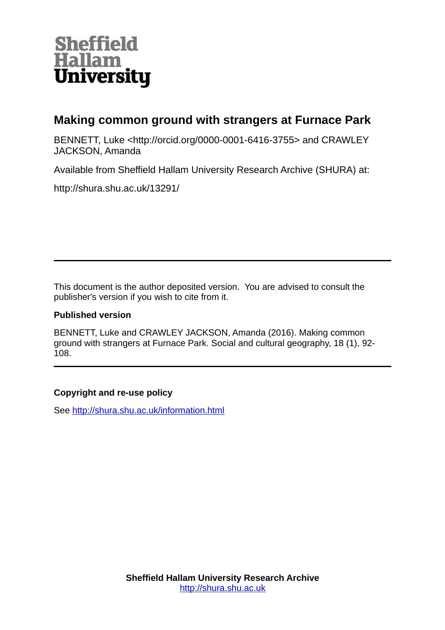

## **Making common ground with strangers at Furnace Park**

BENNETT, Luke <http://orcid.org/0000-0001-6416-3755> and CRAWLEY JACKSON, Amanda

Available from Sheffield Hallam University Research Archive (SHURA) at:

http://shura.shu.ac.uk/13291/

This document is the author deposited version. You are advised to consult the publisher's version if you wish to cite from it.

### **Published version**

BENNETT, Luke and CRAWLEY JACKSON, Amanda (2016). Making common ground with strangers at Furnace Park. Social and cultural geography, 18 (1), 92- 108.

## **Copyright and re-use policy**

See<http://shura.shu.ac.uk/information.html>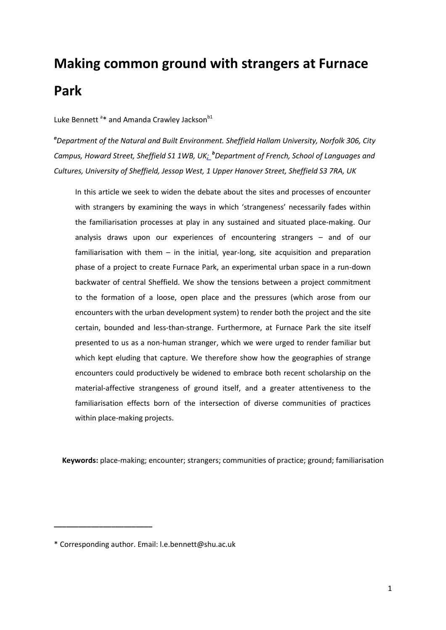# **Making common ground with strangers at Furnace Park**

Luke Bennett<sup>a</sup>\* and Amanda Crawley Jackson<sup>b1</sup>

*<sup>a</sup>Department of the Natural and Built Environment. Sheffield Hallam University, Norfolk 306, City Campus, Howard Street, Sheffield S1 1WB, UK; <sup>b</sup>Department of French, School of Languages and Cultures, University of Sheffield, Jessop West, 1 Upper Hanover Street, Sheffield S3 7RA, UK*

In this article we seek to widen the debate about the sites and processes of encounter with strangers by examining the ways in which 'strangeness' necessarily fades within the familiarisation processes at play in any sustained and situated place-making. Our analysis draws upon our experiences of encountering strangers – and of our familiarisation with them – in the initial, year-long, site acquisition and preparation phase of a project to create Furnace Park, an experimental urban space in a run-down backwater of central Sheffield. We show the tensions between a project commitment to the formation of a loose, open place and the pressures (which arose from our encounters with the urban development system) to render both the project and the site certain, bounded and less-than-strange. Furthermore, at Furnace Park the site itself presented to us as a non-human stranger, which we were urged to render familiar but which kept eluding that capture. We therefore show how the geographies of strange encounters could productively be widened to embrace both recent scholarship on the material-affective strangeness of ground itself, and a greater attentiveness to the familiarisation effects born of the intersection of diverse communities of practices within place-making projects.

**Keywords:** place-making; encounter; strangers; communities of practice; ground; familiarisation

**\_\_\_\_\_\_\_\_\_\_\_\_\_\_\_\_\_\_\_\_\_\_\_\_**

<sup>\*</sup> Corresponding author. Email: l.e.bennett@shu.ac.uk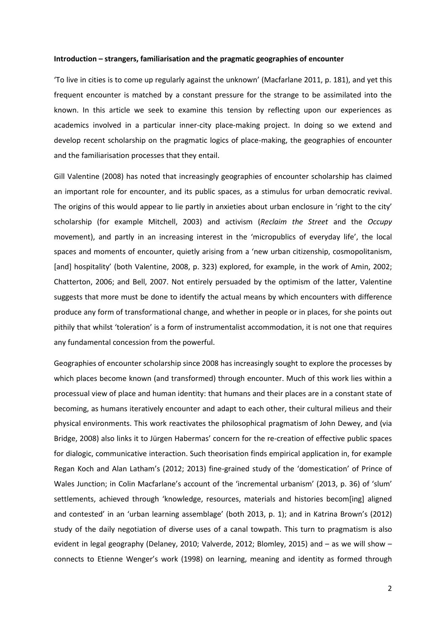#### **Introduction – strangers, familiarisation and the pragmatic geographies of encounter**

'To live in cities is to come up regularly against the unknown' (Macfarlane 2011, p. 181), and yet this frequent encounter is matched by a constant pressure for the strange to be assimilated into the known. In this article we seek to examine this tension by reflecting upon our experiences as academics involved in a particular inner-city place-making project. In doing so we extend and develop recent scholarship on the pragmatic logics of place-making, the geographies of encounter and the familiarisation processes that they entail.

Gill Valentine (2008) has noted that increasingly geographies of encounter scholarship has claimed an important role for encounter, and its public spaces, as a stimulus for urban democratic revival. The origins of this would appear to lie partly in anxieties about urban enclosure in 'right to the city' scholarship (for example Mitchell, 2003) and activism (*Reclaim the Street* and the *Occupy* movement), and partly in an increasing interest in the 'micropublics of everyday life', the local spaces and moments of encounter, quietly arising from a 'new urban citizenship, cosmopolitanism, [and] hospitality' (both Valentine, 2008, p. 323) explored, for example, in the work of Amin, 2002; Chatterton, 2006; and Bell, 2007. Not entirely persuaded by the optimism of the latter, Valentine suggests that more must be done to identify the actual means by which encounters with difference produce any form of transformational change, and whether in people or in places, for she points out pithily that whilst 'toleration' is a form of instrumentalist accommodation, it is not one that requires any fundamental concession from the powerful.

Geographies of encounter scholarship since 2008 has increasingly sought to explore the processes by which places become known (and transformed) through encounter. Much of this work lies within a processual view of place and human identity: that humans and their places are in a constant state of becoming, as humans iteratively encounter and adapt to each other, their cultural milieus and their physical environments. This work reactivates the philosophical pragmatism of John Dewey, and (via Bridge, 2008) also links it to Jürgen Habermas' concern for the re-creation of effective public spaces for dialogic, communicative interaction. Such theorisation finds empirical application in, for example Regan Koch and Alan Latham's (2012; 2013) fine-grained study of the 'domestication' of Prince of Wales Junction; in Colin Macfarlane's account of the 'incremental urbanism' (2013, p. 36) of 'slum' settlements, achieved through 'knowledge, resources, materials and histories becom[ing] aligned and contested' in an 'urban learning assemblage' (both 2013, p. 1); and in Katrina Brown's (2012) study of the daily negotiation of diverse uses of a canal towpath. This turn to pragmatism is also evident in legal geography (Delaney, 2010; Valverde, 2012; Blomley, 2015) and – as we will show – connects to Etienne Wenger's work (1998) on learning, meaning and identity as formed through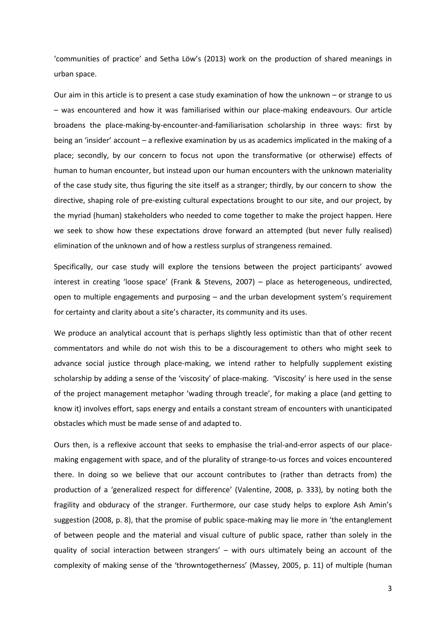'communities of practice' and Setha Löw's (2013) work on the production of shared meanings in urban space.

Our aim in this article is to present a case study examination of how the unknown – or strange to us – was encountered and how it was familiarised within our place-making endeavours. Our article broadens the place-making-by-encounter-and-familiarisation scholarship in three ways: first by being an 'insider' account – a reflexive examination by us as academics implicated in the making of a place; secondly, by our concern to focus not upon the transformative (or otherwise) effects of human to human encounter, but instead upon our human encounters with the unknown materiality of the case study site, thus figuring the site itself as a stranger; thirdly, by our concern to show the directive, shaping role of pre-existing cultural expectations brought to our site, and our project, by the myriad (human) stakeholders who needed to come together to make the project happen. Here we seek to show how these expectations drove forward an attempted (but never fully realised) elimination of the unknown and of how a restless surplus of strangeness remained.

Specifically, our case study will explore the tensions between the project participants' avowed interest in creating 'loose space' (Frank & Stevens, 2007) – place as heterogeneous, undirected, open to multiple engagements and purposing – and the urban development system's requirement for certainty and clarity about a site's character, its community and its uses.

We produce an analytical account that is perhaps slightly less optimistic than that of other recent commentators and while do not wish this to be a discouragement to others who might seek to advance social justice through place-making, we intend rather to helpfully supplement existing scholarship by adding a sense of the 'viscosity' of place-making. 'Viscosity' is here used in the sense of the project management metaphor 'wading through treacle', for making a place (and getting to know it) involves effort, saps energy and entails a constant stream of encounters with unanticipated obstacles which must be made sense of and adapted to.

Ours then, is a reflexive account that seeks to emphasise the trial-and-error aspects of our placemaking engagement with space, and of the plurality of strange-to-us forces and voices encountered there. In doing so we believe that our account contributes to (rather than detracts from) the production of a 'generalized respect for difference' (Valentine, 2008, p. 333), by noting both the fragility and obduracy of the stranger. Furthermore, our case study helps to explore Ash Amin's suggestion (2008, p. 8), that the promise of public space-making may lie more in 'the entanglement of between people and the material and visual culture of public space, rather than solely in the quality of social interaction between strangers' – with ours ultimately being an account of the complexity of making sense of the 'throwntogetherness' (Massey, 2005, p. 11) of multiple (human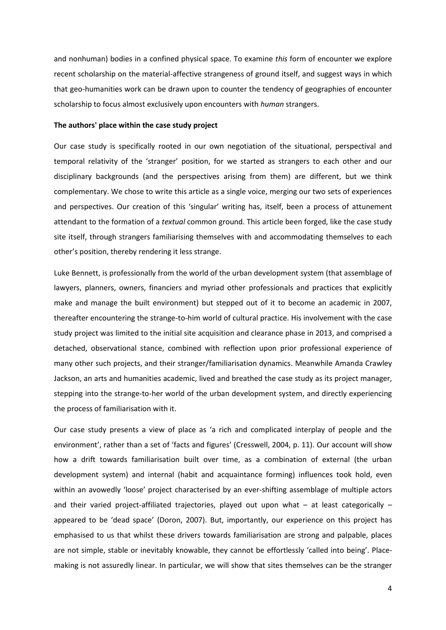and nonhuman) bodies in a confined physical space. To examine *this* form of encounter we explore recent scholarship on the material-affective strangeness of ground itself, and suggest ways in which that geo-humanities work can be drawn upon to counter the tendency of geographies of encounter scholarship to focus almost exclusively upon encounters with *human* strangers.

#### **The authors' place within the case study project**

Our case study is specifically rooted in our own negotiation of the situational, perspectival and temporal relativity of the 'stranger' position, for we started as strangers to each other and our disciplinary backgrounds (and the perspectives arising from them) are different, but we think complementary. We chose to write this article as a single voice, merging our two sets of experiences and perspectives. Our creation of this 'singular' writing has, itself, been a process of attunement attendant to the formation of a *textual* common ground. This article been forged, like the case study site itself, through strangers familiarising themselves with and accommodating themselves to each other's position, thereby rendering it less strange.

Luke Bennett, is professionally from the world of the urban development system (that assemblage of lawyers, planners, owners, financiers and myriad other professionals and practices that explicitly make and manage the built environment) but stepped out of it to become an academic in 2007, thereafter encountering the strange-to-him world of cultural practice. His involvement with the case study project was limited to the initial site acquisition and clearance phase in 2013, and comprised a detached, observational stance, combined with reflection upon prior professional experience of many other such projects, and their stranger/familiarisation dynamics. Meanwhile Amanda Crawley Jackson, an arts and humanities academic, lived and breathed the case study as its project manager, stepping into the strange-to-her world of the urban development system, and directly experiencing the process of familiarisation with it.

Our case study presents a view of place as 'a rich and complicated interplay of people and the environment', rather than a set of 'facts and figures' (Cresswell, 2004, p. 11). Our account will show how a drift towards familiarisation built over time, as a combination of external (the urban development system) and internal (habit and acquaintance forming) influences took hold, even within an avowedly 'loose' project characterised by an ever-shifting assemblage of multiple actors and their varied project-affiliated trajectories, played out upon what – at least categorically – appeared to be 'dead space' (Doron, 2007). But, importantly, our experience on this project has emphasised to us that whilst these drivers towards familiarisation are strong and palpable, places are not simple, stable or inevitably knowable, they cannot be effortlessly 'called into being'. Placemaking is not assuredly linear. In particular, we will show that sites themselves can be the stranger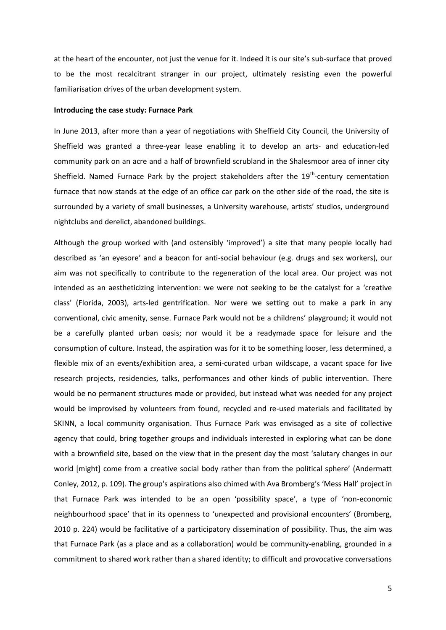at the heart of the encounter, not just the venue for it. Indeed it is our site's sub-surface that proved to be the most recalcitrant stranger in our project, ultimately resisting even the powerful familiarisation drives of the urban development system.

#### **Introducing the case study: Furnace Park**

In June 2013, after more than a year of negotiations with Sheffield City Council, the University of Sheffield was granted a three-year lease enabling it to develop an arts- and education-led community park on an acre and a half of brownfield scrubland in the Shalesmoor area of inner city Sheffield. Named Furnace Park by the project stakeholders after the  $19<sup>th</sup>$ -century cementation furnace that now stands at the edge of an office car park on the other side of the road, the site is surrounded by a variety of small businesses, a University warehouse, artists' studios, underground nightclubs and derelict, abandoned buildings.

Although the group worked with (and ostensibly 'improved') a site that many people locally had described as 'an eyesore' and a beacon for anti-social behaviour (e.g. drugs and sex workers), our aim was not specifically to contribute to the regeneration of the local area. Our project was not intended as an aestheticizing intervention: we were not seeking to be the catalyst for a 'creative class' (Florida, 2003), arts-led gentrification. Nor were we setting out to make a park in any conventional, civic amenity, sense. Furnace Park would not be a childrens' playground; it would not be a carefully planted urban oasis; nor would it be a readymade space for leisure and the consumption of culture. Instead, the aspiration was for it to be something looser, less determined, a flexible mix of an events/exhibition area, a semi-curated urban wildscape, a vacant space for live research projects, residencies, talks, performances and other kinds of public intervention. There would be no permanent structures made or provided, but instead what was needed for any project would be improvised by volunteers from found, recycled and re-used materials and facilitated by SKINN, a local community organisation. Thus Furnace Park was envisaged as a site of collective agency that could, bring together groups and individuals interested in exploring what can be done with a brownfield site, based on the view that in the present day the most 'salutary changes in our world [might] come from a creative social body rather than from the political sphere' (Andermatt Conley, 2012, p. 109). The group's aspirations also chimed with Ava Bromberg's 'Mess Hall' project in that Furnace Park was intended to be an open 'possibility space', a type of 'non-economic neighbourhood space' that in its openness to 'unexpected and provisional encounters' (Bromberg, 2010 p. 224) would be facilitative of a participatory dissemination of possibility. Thus, the aim was that Furnace Park (as a place and as a collaboration) would be community-enabling, grounded in a commitment to shared work rather than a shared identity; to difficult and provocative conversations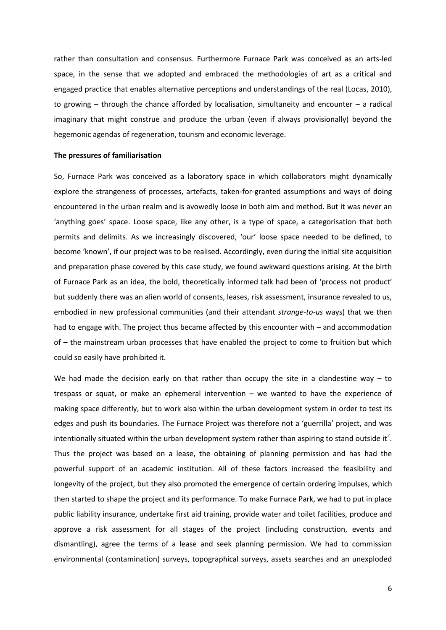rather than consultation and consensus. Furthermore Furnace Park was conceived as an arts-led space, in the sense that we adopted and embraced the methodologies of art as a critical and engaged practice that enables alternative perceptions and understandings of the real (Locas, 2010), to growing – through the chance afforded by localisation, simultaneity and encounter – a radical imaginary that might construe and produce the urban (even if always provisionally) beyond the hegemonic agendas of regeneration, tourism and economic leverage.

#### **The pressures of familiarisation**

So, Furnace Park was conceived as a laboratory space in which collaborators might dynamically explore the strangeness of processes, artefacts, taken-for-granted assumptions and ways of doing encountered in the urban realm and is avowedly loose in both aim and method. But it was never an 'anything goes' space. Loose space, like any other, is a type of space, a categorisation that both permits and delimits. As we increasingly discovered, 'our' loose space needed to be defined, to become 'known', if our project was to be realised. Accordingly, even during the initial site acquisition and preparation phase covered by this case study, we found awkward questions arising. At the birth of Furnace Park as an idea, the bold, theoretically informed talk had been of 'process not product' but suddenly there was an alien world of consents, leases, risk assessment, insurance revealed to us, embodied in new professional communities (and their attendant *strange-to-us* ways) that we then had to engage with. The project thus became affected by this encounter with – and accommodation of – the mainstream urban processes that have enabled the project to come to fruition but which could so easily have prohibited it.

We had made the decision early on that rather than occupy the site in a clandestine way  $-$  to trespass or squat, or make an ephemeral intervention – we wanted to have the experience of making space differently, but to work also within the urban development system in order to test its edges and push its boundaries. The Furnace Project was therefore not a 'guerrilla' project, and was intentionally situated within the urban development system rather than aspiring to stand outside it<sup>2</sup>. Thus the project was based on a lease, the obtaining of planning permission and has had the powerful support of an academic institution. All of these factors increased the feasibility and longevity of the project, but they also promoted the emergence of certain ordering impulses, which then started to shape the project and its performance. To make Furnace Park, we had to put in place public liability insurance, undertake first aid training, provide water and toilet facilities, produce and approve a risk assessment for all stages of the project (including construction, events and dismantling), agree the terms of a lease and seek planning permission. We had to commission environmental (contamination) surveys, topographical surveys, assets searches and an unexploded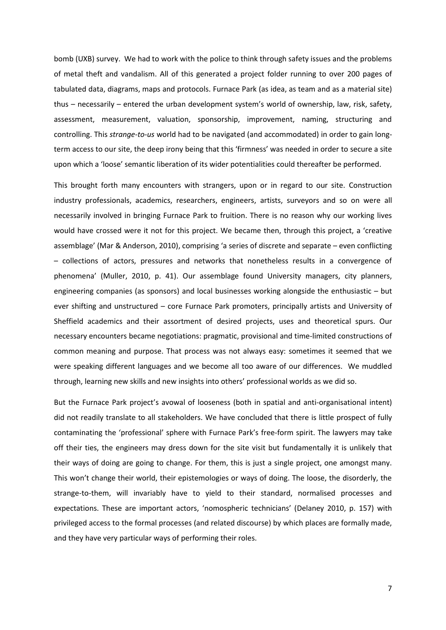bomb (UXB) survey. We had to work with the police to think through safety issues and the problems of metal theft and vandalism. All of this generated a project folder running to over 200 pages of tabulated data, diagrams, maps and protocols. Furnace Park (as idea, as team and as a material site) thus – necessarily – entered the urban development system's world of ownership, law, risk, safety, assessment, measurement, valuation, sponsorship, improvement, naming, structuring and controlling. This *strange-to-us* world had to be navigated (and accommodated) in order to gain longterm access to our site, the deep irony being that this 'firmness' was needed in order to secure a site upon which a 'loose' semantic liberation of its wider potentialities could thereafter be performed.

This brought forth many encounters with strangers, upon or in regard to our site. Construction industry professionals, academics, researchers, engineers, artists, surveyors and so on were all necessarily involved in bringing Furnace Park to fruition. There is no reason why our working lives would have crossed were it not for this project. We became then, through this project, a 'creative assemblage' (Mar & Anderson, 2010), comprising 'a series of discrete and separate – even conflicting – collections of actors, pressures and networks that nonetheless results in a convergence of phenomena' (Muller, 2010, p. 41). Our assemblage found University managers, city planners, engineering companies (as sponsors) and local businesses working alongside the enthusiastic – but ever shifting and unstructured – core Furnace Park promoters, principally artists and University of Sheffield academics and their assortment of desired projects, uses and theoretical spurs. Our necessary encounters became negotiations: pragmatic, provisional and time-limited constructions of common meaning and purpose. That process was not always easy: sometimes it seemed that we were speaking different languages and we become all too aware of our differences. We muddled through, learning new skills and new insights into others' professional worlds as we did so.

But the Furnace Park project's avowal of looseness (both in spatial and anti-organisational intent) did not readily translate to all stakeholders. We have concluded that there is little prospect of fully contaminating the 'professional' sphere with Furnace Park's free-form spirit. The lawyers may take off their ties, the engineers may dress down for the site visit but fundamentally it is unlikely that their ways of doing are going to change. For them, this is just a single project, one amongst many. This won't change their world, their epistemologies or ways of doing. The loose, the disorderly, the strange-to-them, will invariably have to yield to their standard, normalised processes and expectations. These are important actors, 'nomospheric technicians' (Delaney 2010, p. 157) with privileged access to the formal processes (and related discourse) by which places are formally made, and they have very particular ways of performing their roles.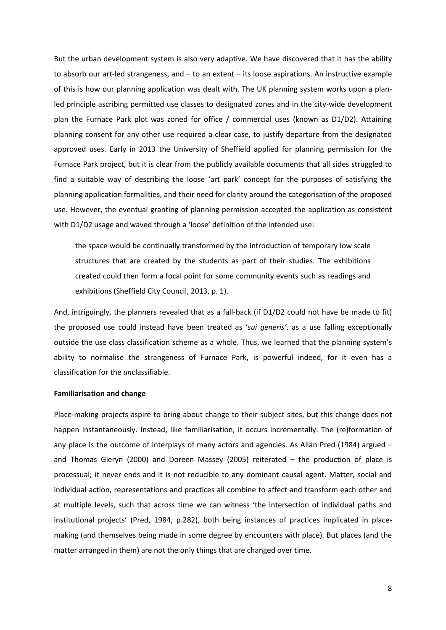But the urban development system is also very adaptive. We have discovered that it has the ability to absorb our art-led strangeness, and – to an extent – its loose aspirations. An instructive example of this is how our planning application was dealt with. The UK planning system works upon a planled principle ascribing permitted use classes to designated zones and in the city-wide development plan the Furnace Park plot was zoned for office / commercial uses (known as D1/D2). Attaining planning consent for any other use required a clear case, to justify departure from the designated approved uses. Early in 2013 the University of Sheffield applied for planning permission for the Furnace Park project, but it is clear from the publicly available documents that all sides struggled to find a suitable way of describing the loose 'art park' concept for the purposes of satisfying the planning application formalities, and their need for clarity around the categorisation of the proposed use. However, the eventual granting of planning permission accepted the application as consistent with D1/D2 usage and waved through a 'loose' definition of the intended use:

the space would be continually transformed by the introduction of temporary low scale structures that are created by the students as part of their studies. The exhibitions created could then form a focal point for some community events such as readings and exhibitions (Sheffield City Council, 2013, p. 1).

And, intriguingly, the planners revealed that as a fall-back (if D1/D2 could not have be made to fit) the proposed use could instead have been treated as '*sui generis'*, as a use falling exceptionally outside the use class classification scheme as a whole. Thus, we learned that the planning system's ability to normalise the strangeness of Furnace Park, is powerful indeed, for it even has a classification for the *un*classifiable.

#### **Familiarisation and change**

Place-making projects aspire to bring about change to their subject sites, but this change does not happen instantaneously. Instead, like familiarisation, it occurs incrementally. The (re)formation of any place is the outcome of interplays of many actors and agencies. As Allan Pred (1984) argued – and Thomas Gieryn (2000) and Doreen Massey (2005) reiterated – the production of place is processual; it never ends and it is not reducible to any dominant causal agent. Matter, social and individual action, representations and practices all combine to affect and transform each other and at multiple levels, such that across time we can witness 'the intersection of individual paths and institutional projects' (Pred, 1984, p.282), both being instances of practices implicated in placemaking (and themselves being made in some degree by encounters with place). But places (and the matter arranged in them) are not the only things that are changed over time.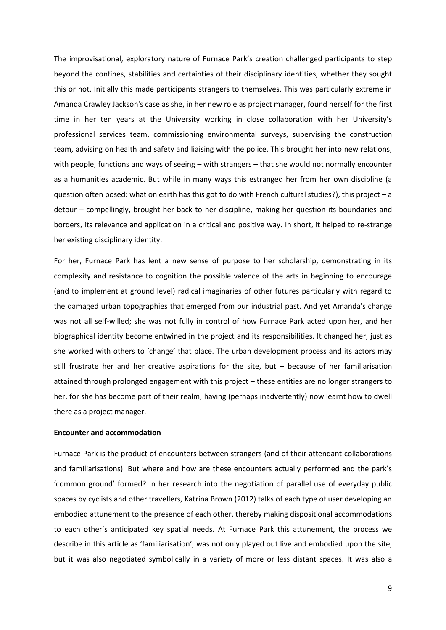The improvisational, exploratory nature of Furnace Park's creation challenged participants to step beyond the confines, stabilities and certainties of their disciplinary identities, whether they sought this or not. Initially this made participants strangers to themselves. This was particularly extreme in Amanda Crawley Jackson's case as she, in her new role as project manager, found herself for the first time in her ten years at the University working in close collaboration with her University's professional services team, commissioning environmental surveys, supervising the construction team, advising on health and safety and liaising with the police. This brought her into new relations, with people, functions and ways of seeing – with strangers – that she would not normally encounter as a humanities academic. But while in many ways this estranged her from her own discipline (a question often posed: what on earth has this got to do with French cultural studies?), this project – a detour – compellingly, brought her back to her discipline, making her question its boundaries and borders, its relevance and application in a critical and positive way. In short, it helped to re-strange her existing disciplinary identity.

For her, Furnace Park has lent a new sense of purpose to her scholarship, demonstrating in its complexity and resistance to cognition the possible valence of the arts in beginning to encourage (and to implement at ground level) radical imaginaries of other futures particularly with regard to the damaged urban topographies that emerged from our industrial past. And yet Amanda's change was not all self-willed; she was not fully in control of how Furnace Park acted upon her, and her biographical identity become entwined in the project and its responsibilities. It changed her, just as she worked with others to 'change' that place. The urban development process and its actors may still frustrate her and her creative aspirations for the site, but – because of her familiarisation attained through prolonged engagement with this project – these entities are no longer strangers to her, for she has become part of their realm, having (perhaps inadvertently) now learnt how to dwell there as a project manager.

#### **Encounter and accommodation**

Furnace Park is the product of encounters between strangers (and of their attendant collaborations and familiarisations). But where and how are these encounters actually performed and the park's 'common ground' formed? In her research into the negotiation of parallel use of everyday public spaces by cyclists and other travellers, Katrina Brown (2012) talks of each type of user developing an embodied attunement to the presence of each other, thereby making dispositional accommodations to each other's anticipated key spatial needs. At Furnace Park this attunement, the process we describe in this article as 'familiarisation', was not only played out live and embodied upon the site, but it was also negotiated symbolically in a variety of more or less distant spaces. It was also a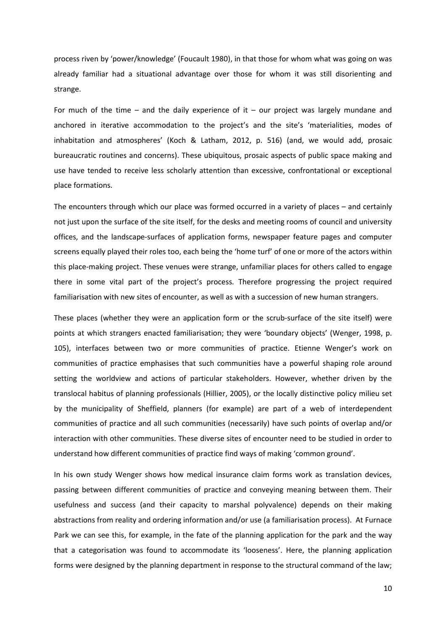process riven by 'power/knowledge' (Foucault 1980), in that those for whom what was going on was already familiar had a situational advantage over those for whom it was still disorienting and strange.

For much of the time – and the daily experience of it – our project was largely mundane and anchored in iterative accommodation to the project's and the site's 'materialities, modes of inhabitation and atmospheres' (Koch & Latham, 2012, p. 516) (and, we would add, prosaic bureaucratic routines and concerns). These ubiquitous, prosaic aspects of public space making and use have tended to receive less scholarly attention than excessive, confrontational or exceptional place formations.

The encounters through which our place was formed occurred in a variety of places – and certainly not just upon the surface of the site itself, for the desks and meeting rooms of council and university offices, and the landscape-surfaces of application forms, newspaper feature pages and computer screens equally played their roles too, each being the 'home turf' of one or more of the actors within this place-making project. These venues were strange, unfamiliar places for others called to engage there in some vital part of the project's process. Therefore progressing the project required familiarisation with new sites of encounter, as well as with a succession of new human strangers.

These places (whether they were an application form or the scrub-surface of the site itself) were points at which strangers enacted familiarisation; they were 'boundary objects' (Wenger, 1998, p. 105), interfaces between two or more communities of practice. Etienne Wenger's work on communities of practice emphasises that such communities have a powerful shaping role around setting the worldview and actions of particular stakeholders. However, whether driven by the translocal habitus of planning professionals (Hillier, 2005), or the locally distinctive policy milieu set by the municipality of Sheffield, planners (for example) are part of a web of interdependent communities of practice and all such communities (necessarily) have such points of overlap and/or interaction with other communities. These diverse sites of encounter need to be studied in order to understand how different communities of practice find ways of making 'common ground'.

In his own study Wenger shows how medical insurance claim forms work as translation devices, passing between different communities of practice and conveying meaning between them. Their usefulness and success (and their capacity to marshal polyvalence) depends on their making abstractions from reality and ordering information and/or use (a familiarisation process). At Furnace Park we can see this, for example, in the fate of the planning application for the park and the way that a categorisation was found to accommodate its 'looseness'. Here, the planning application forms were designed by the planning department in response to the structural command of the law;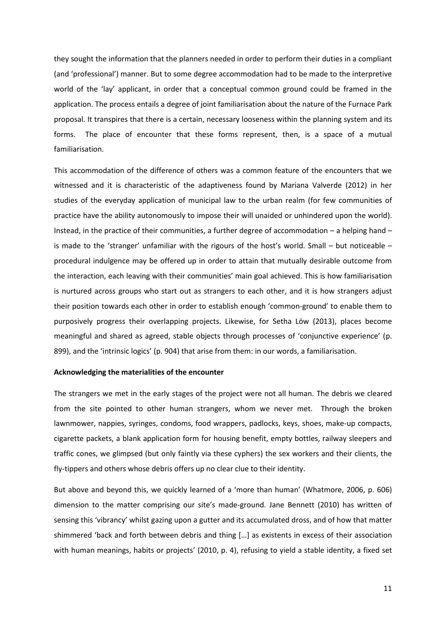they sought the information that the planners needed in order to perform their duties in a compliant (and 'professional') manner. But to some degree accommodation had to be made to the interpretive world of the 'lay' applicant, in order that a conceptual common ground could be framed in the application. The process entails a degree of joint familiarisation about the nature of the Furnace Park proposal. It transpires that there is a certain, necessary looseness within the planning system and its forms. The place of encounter that these forms represent, then, is a space of a mutual familiarisation.

This accommodation of the difference of others was a common feature of the encounters that we witnessed and it is characteristic of the adaptiveness found by Mariana Valverde (2012) in her studies of the everyday application of municipal law to the urban realm (for few communities of practice have the ability autonomously to impose their will unaided or unhindered upon the world). Instead, in the practice of their communities, a further degree of accommodation – a helping hand – is made to the 'stranger' unfamiliar with the rigours of the host's world. Small – but noticeable – procedural indulgence may be offered up in order to attain that mutually desirable outcome from the interaction, each leaving with their communities' main goal achieved. This is how familiarisation is nurtured across groups who start out as strangers to each other, and it is how strangers adjust their position towards each other in order to establish enough 'common-ground' to enable them to purposively progress their overlapping projects. Likewise, for Setha Löw (2013), places become meaningful and shared as agreed, stable objects through processes of 'conjunctive experience' (p. 899), and the 'intrinsic logics' (p. 904) that arise from them: in our words, a familiarisation.

#### **Acknowledging the materialities of the encounter**

The strangers we met in the early stages of the project were not all human. The debris we cleared from the site pointed to other human strangers, whom we never met. Through the broken lawnmower, nappies, syringes, condoms, food wrappers, padlocks, keys, shoes, make-up compacts, cigarette packets, a blank application form for housing benefit, empty bottles, railway sleepers and traffic cones, we glimpsed (but only faintly via these cyphers) the sex workers and their clients, the fly-tippers and others whose debris offers up no clear clue to their identity.

But above and beyond this, we quickly learned of a 'more than human' (Whatmore, 2006, p. 606) dimension to the matter comprising our site's made-ground. Jane Bennett (2010) has written of sensing this 'vibrancy' whilst gazing upon a gutter and its accumulated dross, and of how that matter shimmered 'back and forth between debris and thing […] as existents in excess of their association with human meanings, habits or projects' (2010, p. 4), refusing to yield a stable identity, a fixed set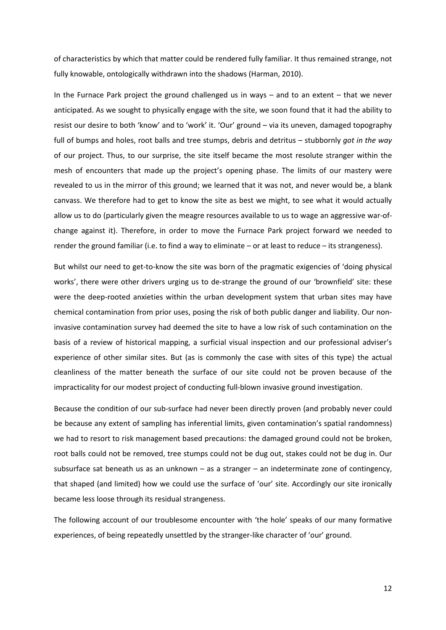of characteristics by which that matter could be rendered fully familiar. It thus remained strange, not fully knowable, ontologically withdrawn into the shadows (Harman, 2010).

In the Furnace Park project the ground challenged us in ways – and to an extent – that we never anticipated. As we sought to physically engage with the site, we soon found that it had the ability to resist our desire to both 'know' and to 'work' it. 'Our' ground – via its uneven, damaged topography full of bumps and holes, root balls and tree stumps, debris and detritus – stubbornly *got in the way* of our project. Thus, to our surprise, the site itself became the most resolute stranger within the mesh of encounters that made up the project's opening phase. The limits of our mastery were revealed to us in the mirror of this ground; we learned that it was not, and never would be, a blank canvass. We therefore had to get to know the site as best we might, to see what it would actually allow us to do (particularly given the meagre resources available to us to wage an aggressive war-ofchange against it). Therefore, in order to move the Furnace Park project forward we needed to render the ground familiar (i.e. to find a way to eliminate – or at least to reduce – its strangeness).

But whilst our need to get-to-know the site was born of the pragmatic exigencies of 'doing physical works', there were other drivers urging us to de-strange the ground of our 'brownfield' site: these were the deep-rooted anxieties within the urban development system that urban sites may have chemical contamination from prior uses, posing the risk of both public danger and liability. Our noninvasive contamination survey had deemed the site to have a low risk of such contamination on the basis of a review of historical mapping, a surficial visual inspection and our professional adviser's experience of other similar sites. But (as is commonly the case with sites of this type) the actual cleanliness of the matter beneath the surface of our site could not be proven because of the impracticality for our modest project of conducting full-blown invasive ground investigation.

Because the condition of our sub-surface had never been directly proven (and probably never could be because any extent of sampling has inferential limits, given contamination's spatial randomness) we had to resort to risk management based precautions: the damaged ground could not be broken, root balls could not be removed, tree stumps could not be dug out, stakes could not be dug in. Our subsurface sat beneath us as an unknown – as a stranger – an indeterminate zone of contingency, that shaped (and limited) how we could use the surface of 'our' site. Accordingly our site ironically became less loose through its residual strangeness.

The following account of our troublesome encounter with 'the hole' speaks of our many formative experiences, of being repeatedly unsettled by the stranger-like character of 'our' ground.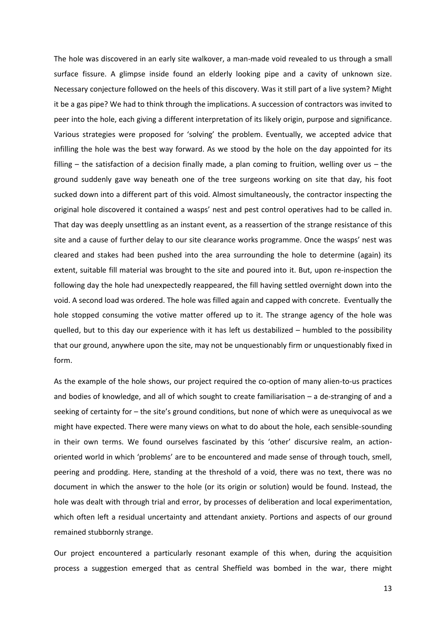The hole was discovered in an early site walkover, a man-made void revealed to us through a small surface fissure. A glimpse inside found an elderly looking pipe and a cavity of unknown size. Necessary conjecture followed on the heels of this discovery. Was it still part of a live system? Might it be a gas pipe? We had to think through the implications. A succession of contractors was invited to peer into the hole, each giving a different interpretation of its likely origin, purpose and significance. Various strategies were proposed for 'solving' the problem. Eventually, we accepted advice that infilling the hole was the best way forward. As we stood by the hole on the day appointed for its filling – the satisfaction of a decision finally made, a plan coming to fruition, welling over us – the ground suddenly gave way beneath one of the tree surgeons working on site that day, his foot sucked down into a different part of this void. Almost simultaneously, the contractor inspecting the original hole discovered it contained a wasps' nest and pest control operatives had to be called in. That day was deeply unsettling as an instant event, as a reassertion of the strange resistance of this site and a cause of further delay to our site clearance works programme. Once the wasps' nest was cleared and stakes had been pushed into the area surrounding the hole to determine (again) its extent, suitable fill material was brought to the site and poured into it. But, upon re-inspection the following day the hole had unexpectedly reappeared, the fill having settled overnight down into the void. A second load was ordered. The hole was filled again and capped with concrete. Eventually the hole stopped consuming the votive matter offered up to it. The strange agency of the hole was quelled, but to this day our experience with it has left us destabilized – humbled to the possibility that our ground, anywhere upon the site, may not be unquestionably firm or unquestionably fixed in form.

As the example of the hole shows, our project required the co-option of many alien-to-us practices and bodies of knowledge, and all of which sought to create familiarisation – a de-stranging of and a seeking of certainty for – the site's ground conditions, but none of which were as unequivocal as we might have expected. There were many views on what to do about the hole, each sensible-sounding in their own terms. We found ourselves fascinated by this 'other' discursive realm, an actionoriented world in which 'problems' are to be encountered and made sense of through touch, smell, peering and prodding. Here, standing at the threshold of a void, there was no text, there was no document in which the answer to the hole (or its origin or solution) would be found. Instead, the hole was dealt with through trial and error, by processes of deliberation and local experimentation, which often left a residual uncertainty and attendant anxiety. Portions and aspects of our ground remained stubbornly strange.

Our project encountered a particularly resonant example of this when, during the acquisition process a suggestion emerged that as central Sheffield was bombed in the war, there might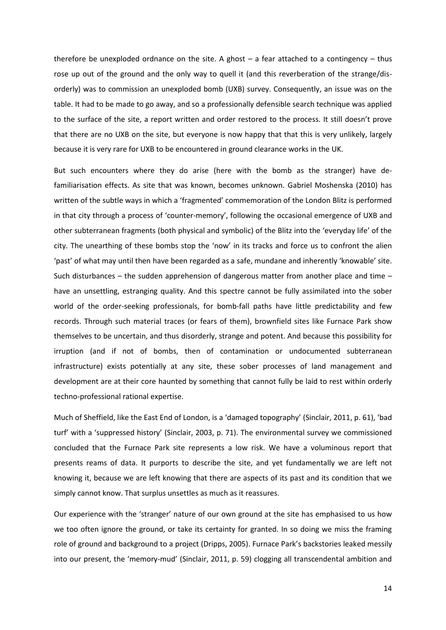therefore be unexploded ordnance on the site. A ghost  $-$  a fear attached to a contingency  $-$  thus rose up out of the ground and the only way to quell it (and this reverberation of the strange/disorderly) was to commission an unexploded bomb (UXB) survey. Consequently, an issue was on the table. It had to be made to go away, and so a professionally defensible search technique was applied to the surface of the site, a report written and order restored to the process. It still doesn't prove that there are no UXB on the site, but everyone is now happy that that this is very unlikely, largely because it is very rare for UXB to be encountered in ground clearance works in the UK.

But such encounters where they do arise (here with the bomb as the stranger) have defamiliarisation effects. As site that was known, becomes unknown. Gabriel Moshenska (2010) has written of the subtle ways in which a 'fragmented' commemoration of the London Blitz is performed in that city through a process of 'counter-memory', following the occasional emergence of UXB and other subterranean fragments (both physical and symbolic) of the Blitz into the 'everyday life' of the city. The unearthing of these bombs stop the 'now' in its tracks and force us to confront the alien 'past' of what may until then have been regarded as a safe, mundane and inherently 'knowable' site. Such disturbances – the sudden apprehension of dangerous matter from another place and time – have an unsettling, estranging quality. And this spectre cannot be fully assimilated into the sober world of the order-seeking professionals, for bomb-fall paths have little predictability and few records. Through such material traces (or fears of them), brownfield sites like Furnace Park show themselves to be uncertain, and thus disorderly, strange and potent. And because this possibility for irruption (and if not of bombs, then of contamination or undocumented subterranean infrastructure) exists potentially at any site, these sober processes of land management and development are at their core haunted by something that cannot fully be laid to rest within orderly techno-professional rational expertise.

Much of Sheffield, like the East End of London, is a 'damaged topography' (Sinclair, 2011, p. 61), 'bad turf' with a 'suppressed history' (Sinclair, 2003, p. 71). The environmental survey we commissioned concluded that the Furnace Park site represents a low risk. We have a voluminous report that presents reams of data. It purports to describe the site, and yet fundamentally we are left not knowing it, because we are left knowing that there are aspects of its past and its condition that we simply cannot know. That surplus unsettles as much as it reassures.

Our experience with the 'stranger' nature of our own ground at the site has emphasised to us how we too often ignore the ground, or take its certainty for granted. In so doing we miss the framing role of ground and background to a project (Dripps, 2005). Furnace Park's backstories leaked messily into our present, the 'memory-mud' (Sinclair, 2011, p. 59) clogging all transcendental ambition and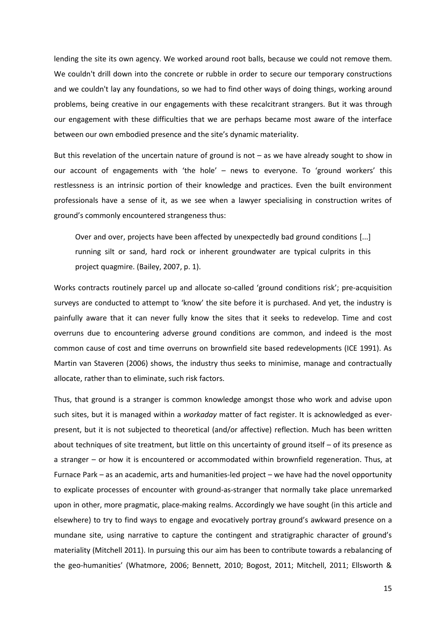lending the site its own agency. We worked around root balls, because we could not remove them. We couldn't drill down into the concrete or rubble in order to secure our temporary constructions and we couldn't lay any foundations, so we had to find other ways of doing things, working around problems, being creative in our engagements with these recalcitrant strangers. But it was through our engagement with these difficulties that we are perhaps became most aware of the interface between our own embodied presence and the site's dynamic materiality.

But this revelation of the uncertain nature of ground is not  $-$  as we have already sought to show in our account of engagements with 'the hole' - news to everyone. To 'ground workers' this restlessness is an intrinsic portion of their knowledge and practices. Even the built environment professionals have a sense of it, as we see when a lawyer specialising in construction writes of ground's commonly encountered strangeness thus:

Over and over, projects have been affected by unexpectedly bad ground conditions [...] running silt or sand, hard rock or inherent groundwater are typical culprits in this project quagmire. (Bailey, 2007, p. 1).

Works contracts routinely parcel up and allocate so-called 'ground conditions risk'; pre-acquisition surveys are conducted to attempt to 'know' the site before it is purchased. And yet, the industry is painfully aware that it can never fully know the sites that it seeks to redevelop. Time and cost overruns due to encountering adverse ground conditions are common, and indeed is the most common cause of cost and time overruns on brownfield site based redevelopments (ICE 1991). As Martin van Staveren (2006) shows, the industry thus seeks to minimise, manage and contractually allocate, rather than to eliminate, such risk factors.

Thus, that ground is a stranger is common knowledge amongst those who work and advise upon such sites, but it is managed within a *workaday* matter of fact register. It is acknowledged as everpresent, but it is not subjected to theoretical (and/or affective) reflection. Much has been written about techniques of site treatment, but little on this uncertainty of ground itself – of its presence as a stranger – or how it is encountered or accommodated within brownfield regeneration. Thus, at Furnace Park – as an academic, arts and humanities-led project – we have had the novel opportunity to explicate processes of encounter with ground-as-stranger that normally take place unremarked upon in other, more pragmatic, place-making realms. Accordingly we have sought (in this article and elsewhere) to try to find ways to engage and evocatively portray ground's awkward presence on a mundane site, using narrative to capture the contingent and stratigraphic character of ground's materiality (Mitchell 2011). In pursuing this our aim has been to contribute towards a rebalancing of the geo-humanities' (Whatmore, 2006; Bennett, 2010; Bogost, 2011; Mitchell, 2011; Ellsworth &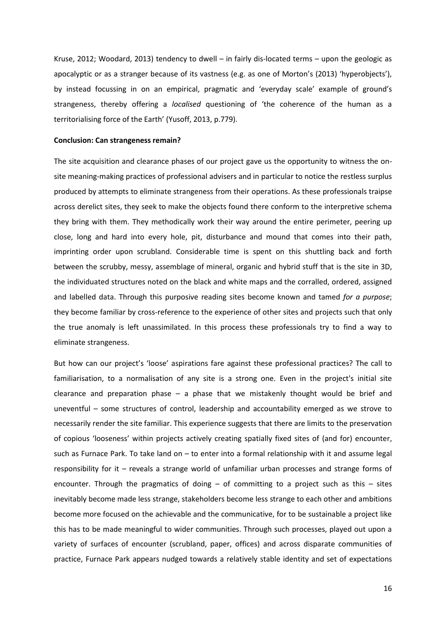Kruse, 2012; Woodard, 2013) tendency to dwell – in fairly dis-located terms – upon the geologic as apocalyptic or as a stranger because of its vastness (e.g. as one of Morton's (2013) 'hyperobjects'), by instead focussing in on an empirical, pragmatic and 'everyday scale' example of ground's strangeness, thereby offering a *localised* questioning of 'the coherence of the human as a territorialising force of the Earth' (Yusoff, 2013, p.779).

#### **Conclusion: Can strangeness remain?**

The site acquisition and clearance phases of our project gave us the opportunity to witness the onsite meaning-making practices of professional advisers and in particular to notice the restless surplus produced by attempts to eliminate strangeness from their operations. As these professionals traipse across derelict sites, they seek to make the objects found there conform to the interpretive schema they bring with them. They methodically work their way around the entire perimeter, peering up close, long and hard into every hole, pit, disturbance and mound that comes into their path, imprinting order upon scrubland. Considerable time is spent on this shuttling back and forth between the scrubby, messy, assemblage of mineral, organic and hybrid stuff that is the site in 3D, the individuated structures noted on the black and white maps and the corralled, ordered, assigned and labelled data. Through this purposive reading sites become known and tamed *for a purpose*; they become familiar by cross-reference to the experience of other sites and projects such that only the true anomaly is left unassimilated. In this process these professionals try to find a way to eliminate strangeness.

But how can our project's 'loose' aspirations fare against these professional practices? The call to familiarisation, to a normalisation of any site is a strong one. Even in the project's initial site clearance and preparation phase  $-$  a phase that we mistakenly thought would be brief and uneventful – some structures of control, leadership and accountability emerged as we strove to necessarily render the site familiar. This experience suggests that there are limits to the preservation of copious 'looseness' within projects actively creating spatially fixed sites of (and for) encounter, such as Furnace Park. To take land on – to enter into a formal relationship with it and assume legal responsibility for it – reveals a strange world of unfamiliar urban processes and strange forms of encounter. Through the pragmatics of doing  $-$  of committing to a project such as this  $-$  sites inevitably become made less strange, stakeholders become less strange to each other and ambitions become more focused on the achievable and the communicative, for to be sustainable a project like this has to be made meaningful to wider communities. Through such processes, played out upon a variety of surfaces of encounter (scrubland, paper, offices) and across disparate communities of practice, Furnace Park appears nudged towards a relatively stable identity and set of expectations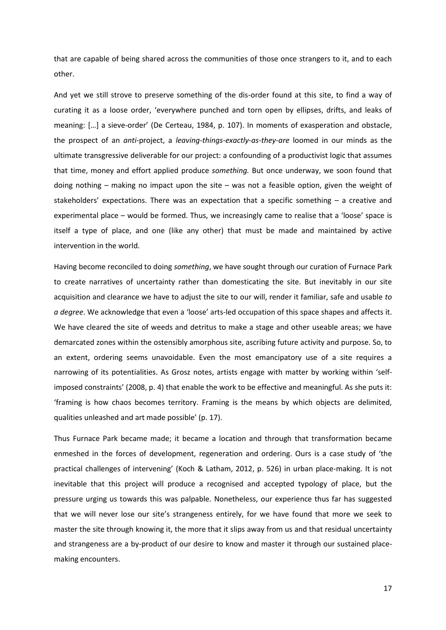that are capable of being shared across the communities of those once strangers to it, and to each other.

And yet we still strove to preserve something of the dis-order found at this site, to find a way of curating it as a loose order, 'everywhere punched and torn open by ellipses, drifts, and leaks of meaning: […] a sieve-order' (De Certeau, 1984, p. 107). In moments of exasperation and obstacle, the prospect of an *anti*-project, a *leaving-things-exactly-as-they-are* loomed in our minds as the ultimate transgressive deliverable for our project: a confounding of a productivist logic that assumes that time, money and effort applied produce *something.* But once underway, we soon found that doing nothing – making no impact upon the site – was not a feasible option, given the weight of stakeholders' expectations. There was an expectation that a specific something – a creative and experimental place – would be formed. Thus, we increasingly came to realise that a 'loose' space is itself a type of place, and one (like any other) that must be made and maintained by active intervention in the world.

Having become reconciled to doing *something*, we have sought through our curation of Furnace Park to create narratives of uncertainty rather than domesticating the site. But inevitably in our site acquisition and clearance we have to adjust the site to our will, render it familiar, safe and usable *to a degree*. We acknowledge that even a 'loose' arts-led occupation of this space shapes and affects it. We have cleared the site of weeds and detritus to make a stage and other useable areas; we have demarcated zones within the ostensibly amorphous site, ascribing future activity and purpose. So, to an extent, ordering seems unavoidable. Even the most emancipatory use of a site requires a narrowing of its potentialities. As Grosz notes, artists engage with matter by working within 'selfimposed constraints' (2008, p. 4) that enable the work to be effective and meaningful. As she puts it: 'framing is how chaos becomes territory. Framing is the means by which objects are delimited, qualities unleashed and art made possible' (p. 17).

Thus Furnace Park became made; it became a location and through that transformation became enmeshed in the forces of development, regeneration and ordering. Ours is a case study of 'the practical challenges of intervening' (Koch & Latham, 2012, p. 526) in urban place-making. It is not inevitable that this project will produce a recognised and accepted typology of place, but the pressure urging us towards this was palpable. Nonetheless, our experience thus far has suggested that we will never lose our site's strangeness entirely, for we have found that more we seek to master the site through knowing it, the more that it slips away from us and that residual uncertainty and strangeness are a by-product of our desire to know and master it through our sustained placemaking encounters.

17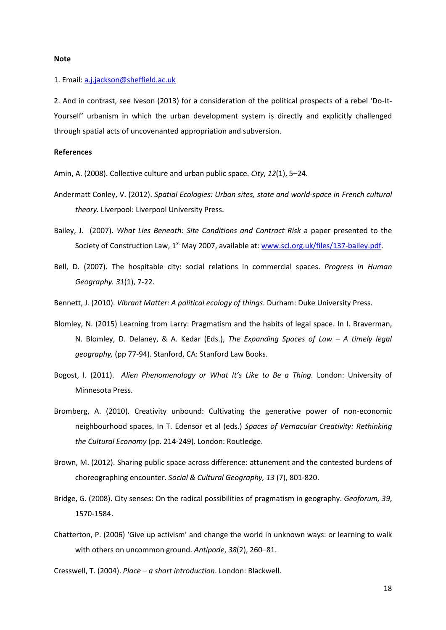#### **Note**

#### 1. Email[: a.j.jackson@sheffield.ac.uk](mailto:a.j.jackson@sheffield.ac.uk)

2. And in contrast, see Iveson (2013) for a consideration of the political prospects of a rebel 'Do-It-Yourself' urbanism in which the urban development system is directly and explicitly challenged through spatial acts of uncovenanted appropriation and subversion.

#### **References**

Amin, A. (2008). Collective culture and urban public space. *City*, *12*(1), 5–24.

- Andermatt Conley, V. (2012). *Spatial Ecologies: Urban sites, state and world-space in French cultural theory.* Liverpool: Liverpool University Press.
- Bailey, J. (2007). *What Lies Beneath: Site Conditions and Contract Risk* a paper presented to the Society of Construction Law, 1<sup>st</sup> May 2007, available at: [www.scl.org.uk/files/137-bailey.pdf.](http://www.scl.org.uk/files/137-bailey.pdf)
- Bell, D. (2007). The hospitable city: social relations in commercial spaces. *Progress in Human Geography. 31*(1), 7-22.
- Bennett, J. (2010). *Vibrant Matter: A political ecology of things*. Durham: Duke University Press.
- Blomley, N. (2015) Learning from Larry: Pragmatism and the habits of legal space. In I. Braverman, N. Blomley, D. Delaney, & A. Kedar (Eds.), *The Expanding Spaces of Law – A timely legal geography,* (pp 77-94). Stanford, CA: Stanford Law Books.
- Bogost, I. (2011). *Alien Phenomenology or What It's Like to Be a Thing.* London: University of Minnesota Press.
- Bromberg, A. (2010). Creativity unbound: Cultivating the generative power of non-economic neighbourhood spaces. In T. Edensor et al (eds.) *Spaces of Vernacular Creativity: Rethinking the Cultural Economy* (pp. 214-249)*.* London: Routledge.
- Brown, M. (2012). Sharing public space across difference: attunement and the contested burdens of choreographing encounter. *Social & Cultural Geography, 13* (7), 801-820.
- Bridge, G. (2008). City senses: On the radical possibilities of pragmatism in geography. *Geoforum, 39*, 1570-1584.
- Chatterton, P. (2006) 'Give up activism' and change the world in unknown ways: or learning to walk with others on uncommon ground. *Antipode*, *38*(2), 260–81.

Cresswell, T. (2004). *Place – a short introduction*. London: Blackwell.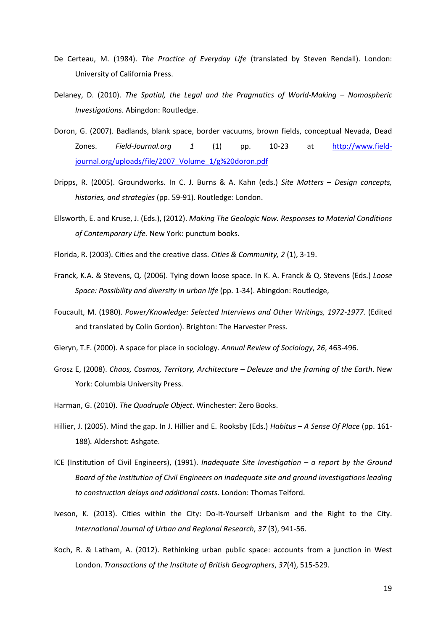- De Certeau, M. (1984). *The Practice of Everyday Life* (translated by Steven Rendall). London: University of California Press.
- Delaney, D. (2010). *The Spatial, the Legal and the Pragmatics of World-Making Nomospheric Investigations*. Abingdon: Routledge.
- Doron, G. (2007). Badlands, blank space, border vacuums, brown fields, conceptual Nevada, Dead Zones. *Field-Journal.org 1* (1) pp. 10-23 at [http://www.field](http://www.field-journal.org/uploads/file/2007_Volume_1/g%20doron.pdf)[journal.org/uploads/file/2007\\_Volume\\_1/g%20doron.pdf](http://www.field-journal.org/uploads/file/2007_Volume_1/g%20doron.pdf)
- Dripps, R. (2005). Groundworks. In C. J. Burns & A. Kahn (eds.) *Site Matters – Design concepts, histories, and strategies* (pp. 59-91)*.* Routledge: London.
- Ellsworth, E. and Kruse, J. (Eds.), (2012). *Making The Geologic Now. Responses to Material Conditions of Contemporary Life.* New York: punctum books.
- Florida, R. (2003). Cities and the creative class. *Cities & Community, 2* (1), 3-19.
- Franck, K.A. & Stevens, Q. (2006). Tying down loose space. In K. A. Franck & Q. Stevens (Eds.) *Loose Space: Possibility and diversity in urban life* (pp. 1-34). Abingdon: Routledge,
- Foucault, M. (1980). *Power/Knowledge: Selected Interviews and Other Writings, 1972-1977.* (Edited and translated by Colin Gordon). Brighton: The Harvester Press.
- Gieryn, T.F. (2000). A space for place in sociology. *Annual Review of Sociology*, *26*, 463-496.
- Grosz E, (2008). *Chaos, Cosmos, Territory, Architecture – Deleuze and the framing of the Earth*. New York: Columbia University Press.
- Harman, G. (2010). *The Quadruple Object*. Winchester: Zero Books.
- Hillier, J. (2005). Mind the gap. In J. Hillier and E. Rooksby (Eds.) *Habitus – A Sense Of Place* (pp. 161- 188)*.* Aldershot: Ashgate.
- ICE (Institution of Civil Engineers), (1991). *Inadequate Site Investigation – a report by the Ground Board of the Institution of Civil Engineers on inadequate site and ground investigations leading to construction delays and additional costs*. London: Thomas Telford.
- Iveson, K. (2013). Cities within the City: Do-It-Yourself Urbanism and the Right to the City. *International Journal of Urban and Regional Research*, *37* (3), 941-56.
- Koch, R. & Latham, A. (2012). Rethinking urban public space: accounts from a junction in West London. *Transactions of the Institute of British Geographers*, *37*(4), 515-529.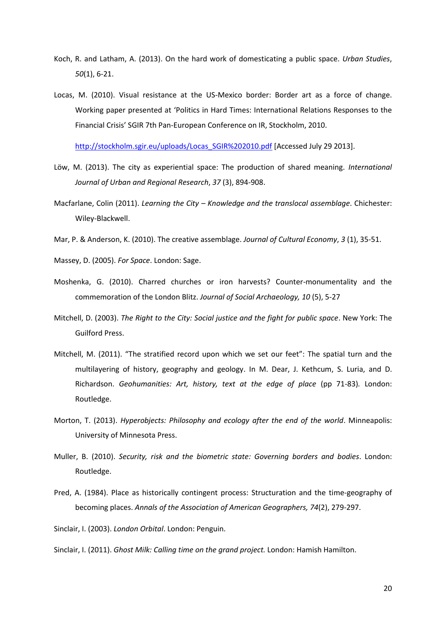- Koch, R. and Latham, A. (2013). On the hard work of domesticating a public space. *Urban Studies*, *50*(1), 6-21.
- Locas, M. (2010). Visual resistance at the US-Mexico border: Border art as a force of change. Working paper presented at 'Politics in Hard Times: International Relations Responses to the Financial Crisis' SGIR 7th Pan-European Conference on IR, Stockholm, 2010.

[http://stockholm.sgir.eu/uploads/Locas\\_SGIR%202010.pdf](http://stockholm.sgir.eu/uploads/Locas_SGIR%202010.pdf) [Accessed July 29 2013].

- Löw, M. (2013). The city as experiential space: The production of shared meaning. *International Journal of Urban and Regional Research*, *37* (3), 894-908.
- Macfarlane, Colin (2011). *Learning the City – Knowledge and the translocal assemblage*. Chichester: Wiley-Blackwell.
- Mar, P. & Anderson, K. (2010). The creative assemblage. *Journal of Cultural Economy*, *3* (1), 35-51.
- Massey, D. (2005). *For Space*. London: Sage.
- Moshenka, G. (2010). Charred churches or iron harvests? Counter-monumentality and the commemoration of the London Blitz. *Journal of Social Archaeology, 10* (5), 5-27
- Mitchell, D. (2003). *The Right to the City: Social justice and the fight for public space*. New York: The Guilford Press.
- Mitchell, M. (2011). "The stratified record upon which we set our feet": The spatial turn and the multilayering of history, geography and geology. In M. Dear, J. Kethcum, S. Luria, and D. Richardson. *Geohumanities: Art, history, text at the edge of place* (pp 71-83)*.* London: Routledge.
- Morton, T. (2013). *Hyperobjects: Philosophy and ecology after the end of the world*. Minneapolis: University of Minnesota Press.
- Muller, B. (2010). *Security, risk and the biometric state: Governing borders and bodies*. London: Routledge.
- Pred, A. (1984). Place as historically contingent process: Structuration and the time-geography of becoming places. *Annals of the Association of American Geographers, 74*(2), 279-297.

Sinclair, I. (2003). *London Orbital*. London: Penguin.

Sinclair, I. (2011). *Ghost Milk: Calling time on the grand project.* London: Hamish Hamilton.